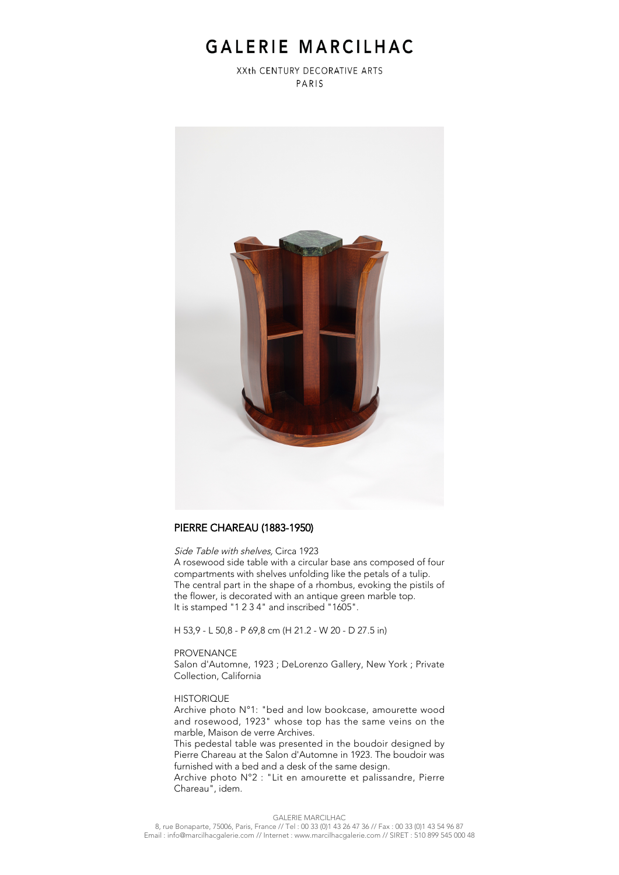## GALERIE MARCILHAC

XXth CENTURY DECORATIVE ARTS PARIS



### PIERRE CHAREAU (1883-1950)

Side Table with shelves, Circa 1923

A rosewood side table with a circular base ans composed of four compartments with shelves unfolding like the petals of a tulip. The central part in the shape of a rhombus, evoking the pistils of the flower, is decorated with an antique green marble top. It is stamped "1 2 3 4" and inscribed "1605".

H 53,9 - L 50,8 - P 69,8 cm (H 21.2 - W 20 - D 27.5 in)

#### PROVENANCE

Salon d'Automne, 1923 ; DeLorenzo Gallery, New York ; Private Collection, California

#### **HISTORIQUE**

Archive photo N°1: "bed and low bookcase, amourette wood and rosewood, 1923" whose top has the same veins on the marble, Maison de verre Archives.

This pedestal table was presented in the boudoir designed by Pierre Chareau at the Salon d'Automne in 1923. The boudoir was furnished with a bed and a desk of the same design.

Archive photo N°2 : "Lit en amourette et palissandre, Pierre Chareau", idem.

GALERIE MARCILHAC 8, rue Bonaparte, 75006, Paris, France // Tel : 00 33 (0)1 43 26 47 36 // Fax : 00 33 (0)1 43 54 96 87 Email : info@marcilhacgalerie.com // Internet : www.marcilhacgalerie.com // SIRET : 510 899 545 000 48